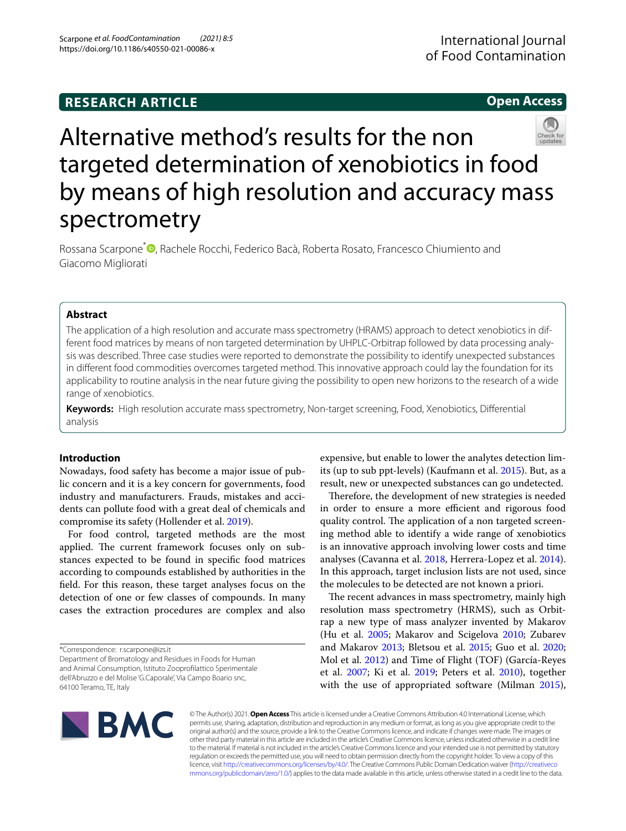**Open Access**

# Alternative method's results for the non targeted determination of xenobiotics in food by means of high resolution and accuracy mass spectrometry

Rossana Scarpone<sup>\*</sup><sup>®</sup>[,](http://orcid.org/0000-0002-6914-4796) Rachele Rocchi, Federico Bacà, Roberta Rosato, Francesco Chiumiento and Giacomo Migliorati

# **Abstract**

The application of a high resolution and accurate mass spectrometry (HRAMS) approach to detect xenobiotics in different food matrices by means of non targeted determination by UHPLC-Orbitrap followed by data processing analysis was described. Three case studies were reported to demonstrate the possibility to identify unexpected substances in diferent food commodities overcomes targeted method. This innovative approach could lay the foundation for its applicability to routine analysis in the near future giving the possibility to open new horizons to the research of a wide range of xenobiotics.

**Keywords:** High resolution accurate mass spectrometry, Non-target screening, Food, Xenobiotics, Diferential analysis

# **Introduction**

Nowadays, food safety has become a major issue of public concern and it is a key concern for governments, food industry and manufacturers. Frauds, mistakes and accidents can pollute food with a great deal of chemicals and compromise its safety (Hollender et al. [2019\)](#page-7-0).

For food control, targeted methods are the most applied. The current framework focuses only on substances expected to be found in specifc food matrices according to compounds established by authorities in the feld. For this reason, these target analyses focus on the detection of one or few classes of compounds. In many cases the extraction procedures are complex and also

\*Correspondence: r.scarpone@izs.it

Department of Bromatology and Residues in Foods for Human and Animal Consumption, Istituto Zooproflattico Sperimentale dell'Abruzzo e del Molise 'G.Caporale', Via Campo Boario snc, 64100 Teramo, TE, Italy

expensive, but enable to lower the analytes detection limits (up to sub ppt-levels) (Kaufmann et al. [2015](#page-7-1)). But, as a result, new or unexpected substances can go undetected.

Therefore, the development of new strategies is needed in order to ensure a more efficient and rigorous food quality control. The application of a non targeted screening method able to identify a wide range of xenobiotics is an innovative approach involving lower costs and time analyses (Cavanna et al. [2018,](#page-7-2) Herrera-Lopez et al. [2014](#page-7-3)). In this approach, target inclusion lists are not used, since the molecules to be detected are not known a priori.

The recent advances in mass spectrometry, mainly high resolution mass spectrometry (HRMS), such as Orbitrap a new type of mass analyzer invented by Makarov (Hu et al. [2005;](#page-7-4) Makarov and Scigelova [2010](#page-7-5); Zubarev and Makarov [2013;](#page-7-6) Bletsou et al. [2015](#page-7-7); Guo et al. [2020](#page-7-8); Mol et al. [2012\)](#page-7-9) and Time of Flight (TOF) (García-Reyes et al. [2007;](#page-7-10) Ki et al. [2019](#page-7-11); Peters et al. [2010\)](#page-7-12), together with the use of appropriated software (Milman [2015](#page-7-13)),



© The Author(s) 2021. **Open Access** This article is licensed under a Creative Commons Attribution 4.0 International License, which permits use, sharing, adaptation, distribution and reproduction in any medium or format, as long as you give appropriate credit to the original author(s) and the source, provide a link to the Creative Commons licence, and indicate if changes were made. The images or other third party material in this article are included in the article's Creative Commons licence, unless indicated otherwise in a credit line to the material. If material is not included in the article's Creative Commons licence and your intended use is not permitted by statutory regulation or exceeds the permitted use, you will need to obtain permission directly from the copyright holder. To view a copy of this licence, visit [http://creativecommons.org/licenses/by/4.0/.](http://creativecommons.org/licenses/by/4.0/) The Creative Commons Public Domain Dedication waiver ([http://creativeco](http://creativecommons.org/publicdomain/zero/1.0/) [mmons.org/publicdomain/zero/1.0/](http://creativecommons.org/publicdomain/zero/1.0/)) applies to the data made available in this article, unless otherwise stated in a credit line to the data.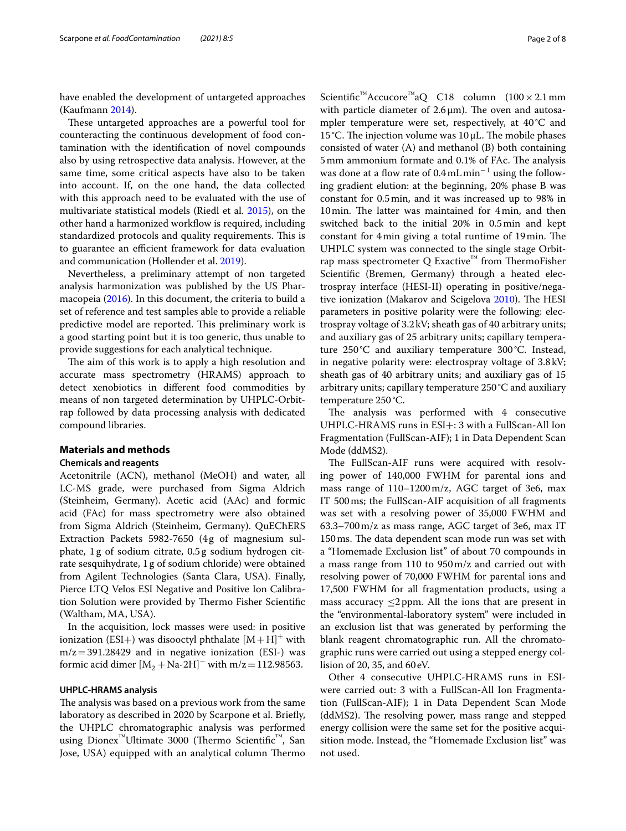have enabled the development of untargeted approaches (Kaufmann [2014\)](#page-7-14).

These untargeted approaches are a powerful tool for counteracting the continuous development of food contamination with the identifcation of novel compounds also by using retrospective data analysis. However, at the same time, some critical aspects have also to be taken into account. If, on the one hand, the data collected with this approach need to be evaluated with the use of multivariate statistical models (Riedl et al. [2015](#page-7-15)), on the other hand a harmonized workfow is required, including standardized protocols and quality requirements. This is to guarantee an efficient framework for data evaluation and communication (Hollender et al. [2019](#page-7-0)).

Nevertheless, a preliminary attempt of non targeted analysis harmonization was published by the US Pharmacopeia ([2016](#page-7-16)). In this document, the criteria to build a set of reference and test samples able to provide a reliable predictive model are reported. This preliminary work is a good starting point but it is too generic, thus unable to provide suggestions for each analytical technique.

The aim of this work is to apply a high resolution and accurate mass spectrometry (HRAMS) approach to detect xenobiotics in diferent food commodities by means of non targeted determination by UHPLC-Orbitrap followed by data processing analysis with dedicated compound libraries.

#### **Materials and methods**

# **Chemicals and reagents**

Acetonitrile (ACN), methanol (MeOH) and water, all LC-MS grade, were purchased from Sigma Aldrich (Steinheim, Germany). Acetic acid (AAc) and formic acid (FAc) for mass spectrometry were also obtained from Sigma Aldrich (Steinheim, Germany). QuEChERS Extraction Packets 5982-7650 (4g of magnesium sulphate, 1 g of sodium citrate, 0.5g sodium hydrogen citrate sesquihydrate, 1g of sodium chloride) were obtained from Agilent Technologies (Santa Clara, USA). Finally, Pierce LTQ Velos ESI Negative and Positive Ion Calibration Solution were provided by Thermo Fisher Scientific (Waltham, MA, USA).

In the acquisition, lock masses were used: in positive ionization (ESI+) was disooctyl phthalate  $[M+H]^{+}$  with  $m/z = 391.28429$  and in negative ionization (ESI-) was formic acid dimer  $[M_2 + Na-2H]$ <sup>–</sup> with m/z = 112.98563.

#### **UHPLC‑HRAMS analysis**

The analysis was based on a previous work from the same laboratory as described in 2020 by Scarpone et al. Briefy, the UHPLC chromatographic analysis was performed using Dionex<sup>™</sup>Ultimate 3000 (Thermo Scientific<sup>™</sup>, San Jose, USA) equipped with an analytical column Thermo

Scientific<sup>™</sup>Accucore<sup>™</sup>aQ C18 column (100 × 2.1 mm with particle diameter of  $2.6 \mu m$ ). The oven and autosampler temperature were set, respectively, at 40°C and 15 °C. The injection volume was  $10 \mu L$ . The mobile phases consisted of water (A) and methanol (B) both containing 5mm ammonium formate and 0.1% of FAc. The analysis was done at a flow rate of  $0.4 \text{ mL min}^{-1}$  using the following gradient elution: at the beginning, 20% phase B was constant for 0.5min, and it was increased up to 98% in 10 min. The latter was maintained for 4 min, and then

switched back to the initial 20% in 0.5min and kept constant for 4min giving a total runtime of 19min. The UHPLC system was connected to the single stage Orbitrap mass spectrometer Q Exactive<sup>™</sup> from ThermoFisher Scientifc (Bremen, Germany) through a heated electrospray interface (HESI-II) operating in positive/nega-tive ionization (Makarov and Scigelova [2010\)](#page-7-5). The HESI parameters in positive polarity were the following: electrospray voltage of 3.2kV; sheath gas of 40 arbitrary units; and auxiliary gas of 25 arbitrary units; capillary temperature 250°C and auxiliary temperature 300°C. Instead, in negative polarity were: electrospray voltage of 3.8kV; sheath gas of 40 arbitrary units; and auxiliary gas of 15 arbitrary units; capillary temperature 250 °C and auxiliary temperature 250°C.

The analysis was performed with 4 consecutive UHPLC-HRAMS runs in ESI+: 3 with a FullScan-All Ion Fragmentation (FullScan-AIF); 1 in Data Dependent Scan Mode (ddMS2).

The FullScan-AIF runs were acquired with resolving power of 140,000 FWHM for parental ions and mass range of 110–1200m/z, AGC target of 3e6, max IT 500ms; the FullScan-AIF acquisition of all fragments was set with a resolving power of 35,000 FWHM and 63.3–700m/z as mass range, AGC target of 3e6, max IT 150ms. The data dependent scan mode run was set with a "Homemade Exclusion list" of about 70 compounds in a mass range from 110 to 950m/z and carried out with resolving power of 70,000 FWHM for parental ions and 17,500 FWHM for all fragmentation products, using a mass accuracy  $\leq$ 2ppm. All the ions that are present in the "environmental-laboratory system" were included in an exclusion list that was generated by performing the blank reagent chromatographic run. All the chromatographic runs were carried out using a stepped energy collision of 20, 35, and 60eV.

Other 4 consecutive UHPLC-HRAMS runs in ESIwere carried out: 3 with a FullScan-All Ion Fragmentation (FullScan-AIF); 1 in Data Dependent Scan Mode (ddMS2). The resolving power, mass range and stepped energy collision were the same set for the positive acquisition mode. Instead, the "Homemade Exclusion list" was not used.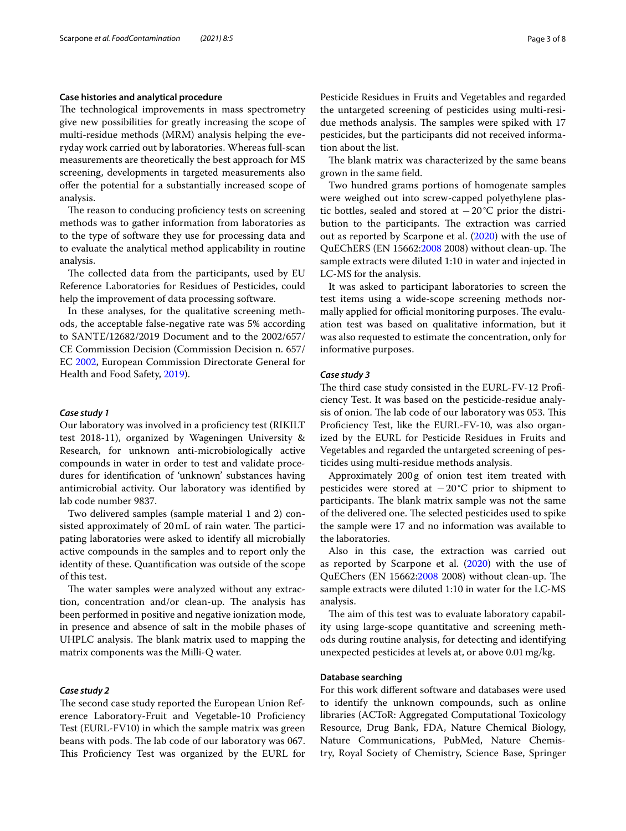# **Case histories and analytical procedure**

The technological improvements in mass spectrometry give new possibilities for greatly increasing the scope of multi-residue methods (MRM) analysis helping the everyday work carried out by laboratories. Whereas full-scan measurements are theoretically the best approach for MS screening, developments in targeted measurements also ofer the potential for a substantially increased scope of analysis.

The reason to conducing proficiency tests on screening methods was to gather information from laboratories as to the type of software they use for processing data and to evaluate the analytical method applicability in routine analysis.

The collected data from the participants, used by EU Reference Laboratories for Residues of Pesticides, could help the improvement of data processing software.

In these analyses, for the qualitative screening methods, the acceptable false-negative rate was 5% according to SANTE/12682/2019 Document and to the 2002/657/ CE Commission Decision (Commission Decision n. 657/ EC [2002,](#page-7-17) European Commission Directorate General for Health and Food Safety, [2019\)](#page-7-18).

#### *Case study 1*

Our laboratory was involved in a profciency test (RIKILT test 2018-11), organized by Wageningen University & Research, for unknown anti-microbiologically active compounds in water in order to test and validate procedures for identifcation of 'unknown' substances having antimicrobial activity. Our laboratory was identifed by lab code number 9837.

Two delivered samples (sample material 1 and 2) consisted approximately of 20 mL of rain water. The participating laboratories were asked to identify all microbially active compounds in the samples and to report only the identity of these. Quantifcation was outside of the scope of this test.

The water samples were analyzed without any extraction, concentration and/or clean-up. The analysis has been performed in positive and negative ionization mode, in presence and absence of salt in the mobile phases of UHPLC analysis. The blank matrix used to mapping the matrix components was the Milli-Q water.

#### *Case study 2*

The second case study reported the European Union Reference Laboratory-Fruit and Vegetable-10 Profciency Test (EURL-FV10) in which the sample matrix was green beans with pods. The lab code of our laboratory was 067. This Proficiency Test was organized by the EURL for Pesticide Residues in Fruits and Vegetables and regarded the untargeted screening of pesticides using multi-residue methods analysis. The samples were spiked with 17 pesticides, but the participants did not received information about the list.

The blank matrix was characterized by the same beans grown in the same feld.

Two hundred grams portions of homogenate samples were weighed out into screw-capped polyethylene plastic bottles, sealed and stored at −20°C prior the distribution to the participants. The extraction was carried out as reported by Scarpone et al. [\(2020\)](#page-7-19) with the use of QuEChERS (EN 15662:[2008](#page-7-20) 2008) without clean-up. The sample extracts were diluted 1:10 in water and injected in LC-MS for the analysis.

It was asked to participant laboratories to screen the test items using a wide-scope screening methods normally applied for official monitoring purposes. The evaluation test was based on qualitative information, but it was also requested to estimate the concentration, only for informative purposes.

#### *Case study 3*

The third case study consisted in the EURL-FV-12 Proficiency Test. It was based on the pesticide-residue analysis of onion. The lab code of our laboratory was 053. This Profciency Test, like the EURL-FV-10, was also organized by the EURL for Pesticide Residues in Fruits and Vegetables and regarded the untargeted screening of pesticides using multi-residue methods analysis.

Approximately 200g of onion test item treated with pesticides were stored at  $-20^{\circ}$ C prior to shipment to participants. The blank matrix sample was not the same of the delivered one. The selected pesticides used to spike the sample were 17 and no information was available to the laboratories.

Also in this case, the extraction was carried out as reported by Scarpone et al. [\(2020](#page-7-19)) with the use of QuEChers (EN 15662[:2008](#page-7-20) 2008) without clean-up. The sample extracts were diluted 1:10 in water for the LC-MS analysis.

The aim of this test was to evaluate laboratory capability using large-scope quantitative and screening methods during routine analysis, for detecting and identifying unexpected pesticides at levels at, or above 0.01mg/kg.

### **Database searching**

For this work diferent software and databases were used to identify the unknown compounds, such as online libraries (ACToR: Aggregated Computational Toxicology Resource, Drug Bank, FDA, Nature Chemical Biology, Nature Communications, PubMed, Nature Chemistry, Royal Society of Chemistry, Science Base, Springer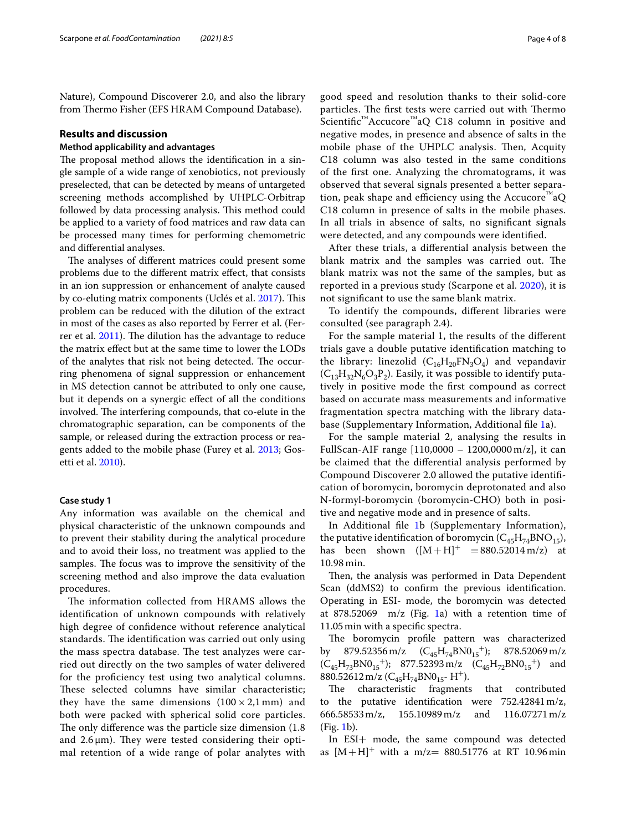Nature), Compound Discoverer 2.0, and also the library from Thermo Fisher (EFS HRAM Compound Database).

#### **Results and discussion**

# **Method applicability and advantages**

The proposal method allows the identification in a single sample of a wide range of xenobiotics, not previously preselected, that can be detected by means of untargeted screening methods accomplished by UHPLC-Orbitrap followed by data processing analysis. This method could be applied to a variety of food matrices and raw data can be processed many times for performing chemometric and diferential analyses.

The analyses of different matrices could present some problems due to the diferent matrix efect, that consists in an ion suppression or enhancement of analyte caused by co-eluting matrix components (Uclés et al. [2017](#page-7-21)). This problem can be reduced with the dilution of the extract in most of the cases as also reported by Ferrer et al. (Fer-rer et al. [2011\)](#page-7-22). The dilution has the advantage to reduce the matrix efect but at the same time to lower the LODs of the analytes that risk not being detected. The occurring phenomena of signal suppression or enhancement in MS detection cannot be attributed to only one cause, but it depends on a synergic efect of all the conditions involved. The interfering compounds, that co-elute in the chromatographic separation, can be components of the sample, or released during the extraction process or reagents added to the mobile phase (Furey et al. [2013](#page-7-23); Gosetti et al. [2010\)](#page-7-24).

#### **Case study 1**

Any information was available on the chemical and physical characteristic of the unknown compounds and to prevent their stability during the analytical procedure and to avoid their loss, no treatment was applied to the samples. The focus was to improve the sensitivity of the screening method and also improve the data evaluation procedures.

The information collected from HRAMS allows the identifcation of unknown compounds with relatively high degree of confdence without reference analytical standards. The identification was carried out only using the mass spectra database. The test analyzes were carried out directly on the two samples of water delivered for the profciency test using two analytical columns. These selected columns have similar characteristic; they have the same dimensions  $(100 \times 2,1 \text{ mm})$  and both were packed with spherical solid core particles. The only difference was the particle size dimension (1.8) and  $2.6 \mu m$ ). They were tested considering their optimal retention of a wide range of polar analytes with

good speed and resolution thanks to their solid-core particles. The first tests were carried out with Thermo Scientific<sup>™</sup>Accucore<sup>™</sup>aQ C18 column in positive and negative modes, in presence and absence of salts in the mobile phase of the UHPLC analysis. Then, Acquity C18 column was also tested in the same conditions of the frst one. Analyzing the chromatograms, it was observed that several signals presented a better separation, peak shape and efficiency using the Accucore<sup>™</sup>aQ C18 column in presence of salts in the mobile phases. In all trials in absence of salts, no signifcant signals were detected, and any compounds were identifed.

After these trials, a diferential analysis between the blank matrix and the samples was carried out. The blank matrix was not the same of the samples, but as reported in a previous study (Scarpone et al. [2020\)](#page-7-19), it is not signifcant to use the same blank matrix.

To identify the compounds, diferent libraries were consulted (see paragraph 2.4).

For the sample material 1, the results of the diferent trials gave a double putative identifcation matching to the library: linezolid  $(C_{16}H_{20}FN_{3}O_{4})$  and vepandavir  $(C_{13}H_{32}N_6O_3P_2)$ . Easily, it was possible to identify putatively in positive mode the frst compound as correct based on accurate mass measurements and informative fragmentation spectra matching with the library database (Supplementary Information, Additional fle [1](#page-6-0)a).

For the sample material 2, analysing the results in FullScan-AIF range [110,0000 – 1200,0000 m/z], it can be claimed that the diferential analysis performed by Compound Discoverer 2.0 allowed the putative identifcation of boromycin, boromycin deprotonated and also N-formyl-boromycin (boromycin-CHO) both in positive and negative mode and in presence of salts.

In Additional fle [1](#page-6-0)b (Supplementary Information), the putative identification of boromycin  $(C_{45}H_{74}BNO_{15})$ ,<br>has been shown  $([M+H]^+ = 880.52014 \text{ m/z})$  at shown  $([M+H]^{+} = 880.52014 \text{ m/z})$  at 10.98 min.

Then, the analysis was performed in Data Dependent Scan (ddMS2) to confrm the previous identifcation. Operating in ESI- mode, the boromycin was detected at 878.52069 m/z (Fig. [1](#page-4-0)a) with a retention time of 11.05min with a specifc spectra.

The boromycin profile pattern was characterized by 879.52356 m/z  $(C_{45}H_{74}BNO_{15}^{+})$ ; 878.52069 m/z  $(C_{45}H_{73}BNO_{15}^{\dagger})$ ; 877.52393 m/z  $(C_{45}H_{72}BNO_{15}^{\dagger})$  and 880.52612 m/z  $(C_{45}H_{74}BNO_{15}$ - H<sup>+</sup>).

The characteristic fragments that contributed to the putative identifcation were 752.42841m/z, 666.58533m/z, 155.10989m/z and 116.07271m/z (Fig. [1b](#page-4-0)).

In ESI+ mode, the same compound was detected as  $[M+H]^{+}$  with a m/z= 880.51776 at RT 10.96 min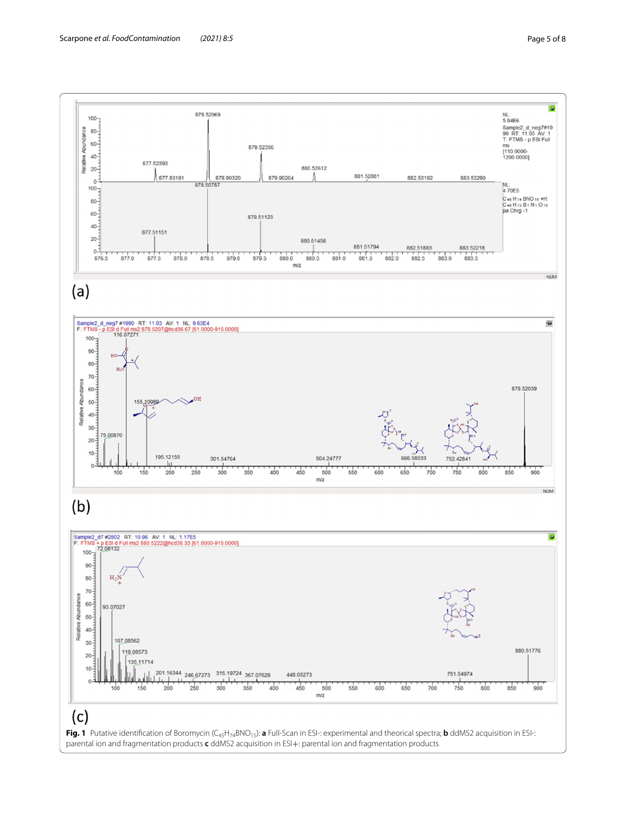<span id="page-4-0"></span>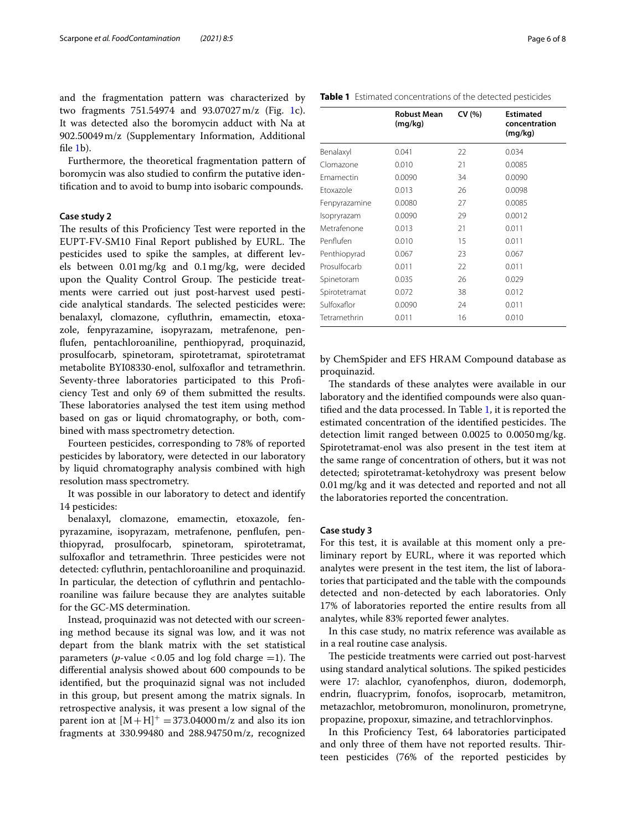and the fragmentation pattern was characterized by two fragments 751.54974 and 93.07027m/z (Fig. [1c](#page-4-0)). It was detected also the boromycin adduct with Na at 902.50049m/z (Supplementary Information, Additional fle [1](#page-6-0)b).

Furthermore, the theoretical fragmentation pattern of boromycin was also studied to confrm the putative identifcation and to avoid to bump into isobaric compounds.

# **Case study 2**

The results of this Proficiency Test were reported in the EUPT-FV-SM10 Final Report published by EURL. The pesticides used to spike the samples, at diferent levels between 0.01mg/kg and 0.1mg/kg, were decided upon the Quality Control Group. The pesticide treatments were carried out just post-harvest used pesticide analytical standards. The selected pesticides were: benalaxyl, clomazone, cyfuthrin, emamectin, etoxazole, fenpyrazamine, isopyrazam, metrafenone, penfufen, pentachloroaniline, penthiopyrad, proquinazid, prosulfocarb, spinetoram, spirotetramat, spirotetramat metabolite BYI08330-enol, sulfoxaflor and tetramethrin. Seventy-three laboratories participated to this Profciency Test and only 69 of them submitted the results. These laboratories analysed the test item using method based on gas or liquid chromatography, or both, combined with mass spectrometry detection.

Fourteen pesticides, corresponding to 78% of reported pesticides by laboratory, were detected in our laboratory by liquid chromatography analysis combined with high resolution mass spectrometry.

It was possible in our laboratory to detect and identify 14 pesticides:

benalaxyl, clomazone, emamectin, etoxazole, fenpyrazamine, isopyrazam, metrafenone, penfufen, penthiopyrad, prosulfocarb, spinetoram, spirotetramat, sulfoxaflor and tetramethrin. Three pesticides were not detected: cyfuthrin, pentachloroaniline and proquinazid. In particular, the detection of cyfuthrin and pentachloroaniline was failure because they are analytes suitable for the GC-MS determination.

Instead, proquinazid was not detected with our screening method because its signal was low, and it was not depart from the blank matrix with the set statistical parameters ( $p$ -value <0.05 and log fold charge =1). The diferential analysis showed about 600 compounds to be identifed, but the proquinazid signal was not included in this group, but present among the matrix signals. In retrospective analysis, it was present a low signal of the parent ion at  $[M+H]^{+} = 373.04000$  m/z and also its ion fragments at 330.99480 and 288.94750m/z, recognized

<span id="page-5-0"></span>

|               | nuuust ivitali<br>(mq/kg) | <b>CV 1701</b> | Lsumateu<br>concentration<br>(mq/kg) |
|---------------|---------------------------|----------------|--------------------------------------|
| Benalaxyl     | 0.041                     | 22             | 0.034                                |
| Clomazone     | 0.010                     | 21             | 0.0085                               |
| Emamectin     | 0.0090                    | 34             | 0.0090                               |
| Ftoxazole     | 0.013                     | 26             | 0.0098                               |
| Fenpyrazamine | 0.0080                    | 27             | 0.0085                               |
| Isopryrazam   | 0.0090                    | 29             | 0.0012                               |
| Metrafenone   | 0.013                     | 21             | 0.011                                |
| Penflufen     | 0.010                     | 15             | 0.011                                |
| Penthiopyrad  | 0.067                     | 23             | 0.067                                |
| Prosulfocarb  | 0.011                     | 22             | 0.011                                |
| Spinetoram    | 0.035                     | 26             | 0.029                                |
| Spirotetramat | 0.072                     | 38             | 0.012                                |
| Sulfoxaflor   | 0.0090                    | 24             | 0.011                                |
| Tetramethrin  | 0.011                     | 16             | 0.010                                |

by ChemSpider and EFS HRAM Compound database as proquinazid.

The standards of these analytes were available in our laboratory and the identifed compounds were also quantifed and the data processed. In Table [1](#page-5-0), it is reported the estimated concentration of the identified pesticides. The detection limit ranged between 0.0025 to 0.0050mg/kg. Spirotetramat-enol was also present in the test item at the same range of concentration of others, but it was not detected; spirotetramat-ketohydroxy was present below 0.01mg/kg and it was detected and reported and not all the laboratories reported the concentration.

#### **Case study 3**

For this test, it is available at this moment only a preliminary report by EURL, where it was reported which analytes were present in the test item, the list of laboratories that participated and the table with the compounds detected and non-detected by each laboratories. Only 17% of laboratories reported the entire results from all analytes, while 83% reported fewer analytes.

In this case study, no matrix reference was available as in a real routine case analysis.

The pesticide treatments were carried out post-harvest using standard analytical solutions. The spiked pesticides were 17: alachlor, cyanofenphos, diuron, dodemorph, endrin, fuacryprim, fonofos, isoprocarb, metamitron, metazachlor, metobromuron, monolinuron, prometryne, propazine, propoxur, simazine, and tetrachlorvinphos.

In this Profciency Test, 64 laboratories participated and only three of them have not reported results. Thirteen pesticides (76% of the reported pesticides by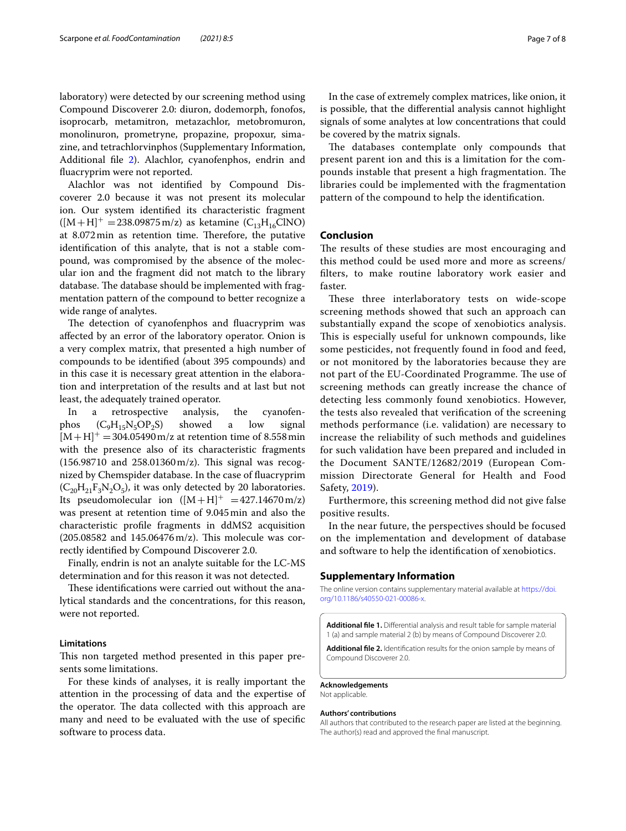laboratory) were detected by our screening method using Compound Discoverer 2.0: diuron, dodemorph, fonofos, isoprocarb, metamitron, metazachlor, metobromuron, monolinuron, prometryne, propazine, propoxur, simazine, and tetrachlorvinphos (Supplementary Information, Additional fle [2](#page-6-1)). Alachlor, cyanofenphos, endrin and fuacryprim were not reported.

Alachlor was not identifed by Compound Discoverer 2.0 because it was not present its molecular ion. Our system identifed its characteristic fragment  $([M+H]^{+} = 238.09875 \text{ m/z})$  as ketamine  $(C_{13}H_{16}CINO)$ at  $8.072$  min as retention time. Therefore, the putative identifcation of this analyte, that is not a stable compound, was compromised by the absence of the molecular ion and the fragment did not match to the library database. The database should be implemented with fragmentation pattern of the compound to better recognize a wide range of analytes.

The detection of cyanofenphos and fluacryprim was afected by an error of the laboratory operator. Onion is a very complex matrix, that presented a high number of compounds to be identifed (about 395 compounds) and in this case it is necessary great attention in the elaboration and interpretation of the results and at last but not least, the adequately trained operator.

In a retrospective analysis, the cyanofenphos  $(C_9H_{15}N_5OP_2S)$  showed a low signal  $[M+H]^{+} = 304.05490 \,\text{m/z}$  at retention time of 8.558 min with the presence also of its characteristic fragments  $(156.98710$  and  $258.01360$  m/z). This signal was recognized by Chemspider database. In the case of fuacryprim  $(C_{20}H_{21}F_3N_2O_5)$ , it was only detected by 20 laboratories. Its pseudomolecular ion  $([M+H]^+ = 427.14670 \,\text{m/z})$ was present at retention time of 9.045min and also the characteristic profle fragments in ddMS2 acquisition  $(205.08582$  and  $145.06476$  m/z). This molecule was correctly identifed by Compound Discoverer 2.0.

Finally, endrin is not an analyte suitable for the LC-MS determination and for this reason it was not detected.

These identifications were carried out without the analytical standards and the concentrations, for this reason, were not reported.

#### **Limitations**

This non targeted method presented in this paper presents some limitations.

For these kinds of analyses, it is really important the attention in the processing of data and the expertise of the operator. The data collected with this approach are many and need to be evaluated with the use of specifc software to process data.

In the case of extremely complex matrices, like onion, it is possible, that the diferential analysis cannot highlight signals of some analytes at low concentrations that could be covered by the matrix signals.

The databases contemplate only compounds that present parent ion and this is a limitation for the compounds instable that present a high fragmentation. The libraries could be implemented with the fragmentation pattern of the compound to help the identifcation.

#### **Conclusion**

The results of these studies are most encouraging and this method could be used more and more as screens/ flters, to make routine laboratory work easier and faster.

These three interlaboratory tests on wide-scope screening methods showed that such an approach can substantially expand the scope of xenobiotics analysis. This is especially useful for unknown compounds, like some pesticides, not frequently found in food and feed, or not monitored by the laboratories because they are not part of the EU-Coordinated Programme. The use of screening methods can greatly increase the chance of detecting less commonly found xenobiotics. However, the tests also revealed that verifcation of the screening methods performance (i.e. validation) are necessary to increase the reliability of such methods and guidelines for such validation have been prepared and included in the Document SANTE/12682/2019 (European Commission Directorate General for Health and Food Safety, [2019\)](#page-7-18).

Furthermore, this screening method did not give false positive results.

In the near future, the perspectives should be focused on the implementation and development of database and software to help the identifcation of xenobiotics.

#### **Supplementary Information**

The online version contains supplementary material available at [https://doi.](https://doi.org/10.1186/s40550-021-00086-x) [org/10.1186/s40550-021-00086-x.](https://doi.org/10.1186/s40550-021-00086-x)

<span id="page-6-1"></span><span id="page-6-0"></span>**Additional fle 1.** Diferential analysis and result table for sample material 1 (a) and sample material 2 (b) by means of Compound Discoverer 2.0.

**Additional fle 2.** Identifcation results for the onion sample by means of Compound Discoverer 2.0.

#### **Acknowledgements**

Not applicable.

#### **Authors' contributions**

All authors that contributed to the research paper are listed at the beginning. The author(s) read and approved the fnal manuscript.